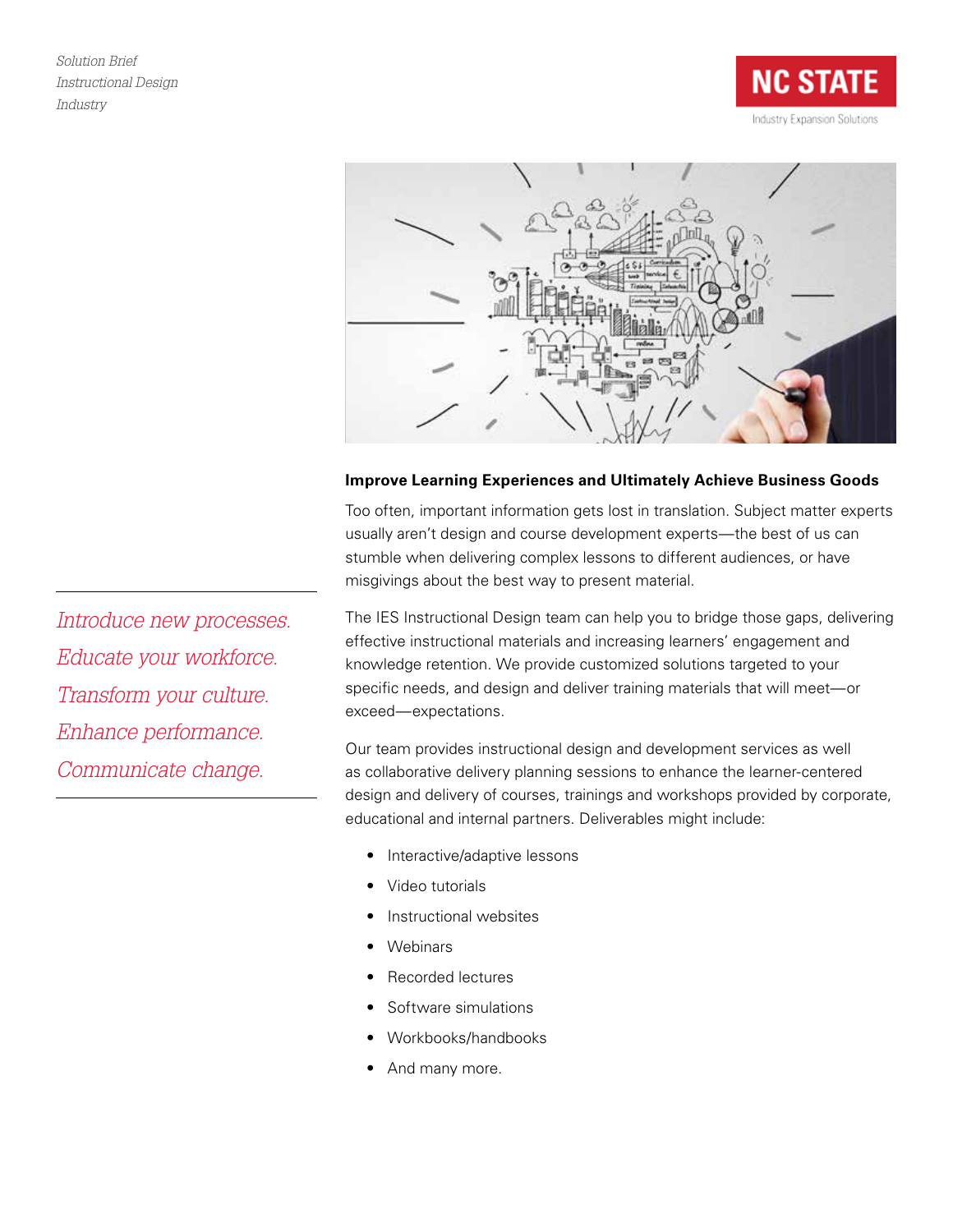



# **Improve Learning Experiences and Ultimately Achieve Business Goods**

Too often, important information gets lost in translation. Subject matter experts usually aren't design and course development experts—the best of us can stumble when delivering complex lessons to different audiences, or have misgivings about the best way to present material.

The IES Instructional Design team can help you to bridge those gaps, delivering effective instructional materials and increasing learners' engagement and knowledge retention. We provide customized solutions targeted to your specific needs, and design and deliver training materials that will meet—or exceed—expectations.

Our team provides instructional design and development services as well as collaborative delivery planning sessions to enhance the learner-centered design and delivery of courses, trainings and workshops provided by corporate, educational and internal partners. Deliverables might include:

- Interactive/adaptive lessons
- Video tutorials
- Instructional websites
- **Webinars**
- Recorded lectures
- Software simulations
- Workbooks/handbooks
- And many more.

*Introduce new processes. Educate your workforce. Transform your culture. Enhance performance. Communicate change.*